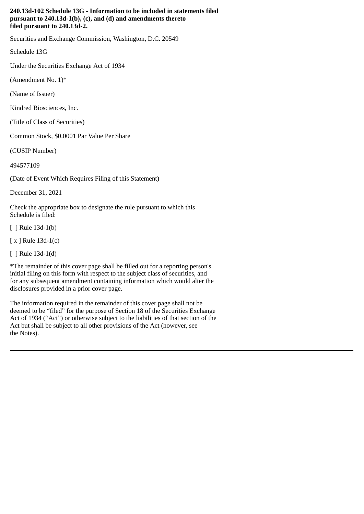## **240.13d-102 Schedule 13G - Information to be included in statements filed pursuant to 240.13d-1(b), (c), and (d) and amendments thereto filed pursuant to 240.13d-2.**

Securities and Exchange Commission, Washington, D.C. 20549

Schedule 13G

Under the Securities Exchange Act of 1934

(Amendment No.  $1$ <sup>\*</sup>

(Name of Issuer)

Kindred Biosciences, Inc.

(Title of Class of Securities)

Common Stock, \$0.0001 Par Value Per Share

(CUSIP Number)

494577109

(Date of Event Which Requires Filing of this Statement)

December 31, 2021

Check the appropriate box to designate the rule pursuant to which this Schedule is filed:

[ ] Rule 13d-1(b)

[ x ] Rule 13d-1(c)

[ ] Rule 13d-1(d)

\*The remainder of this cover page shall be filled out for a reporting person's initial filing on this form with respect to the subject class of securities, and for any subsequent amendment containing information which would alter the disclosures provided in a prior cover page.

The information required in the remainder of this cover page shall not be deemed to be "filed" for the purpose of Section 18 of the Securities Exchange Act of 1934 ("Act") or otherwise subject to the liabilities of that section of the Act but shall be subject to all other provisions of the Act (however, see the Notes).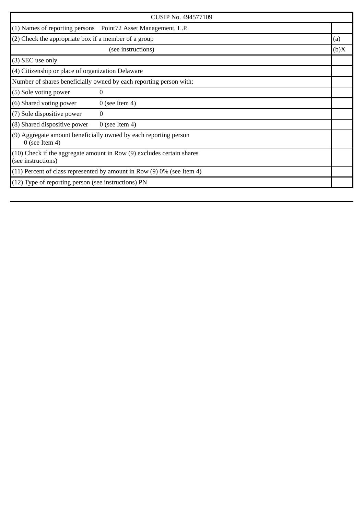| CUSIP No. 494577109                                                                         |      |
|---------------------------------------------------------------------------------------------|------|
| (1) Names of reporting persons  Point72 Asset Management, L.P.                              |      |
| $(2)$ Check the appropriate box if a member of a group                                      | (a)  |
| (see instructions)                                                                          | (b)X |
| (3) SEC use only                                                                            |      |
| (4) Citizenship or place of organization Delaware                                           |      |
| Number of shares beneficially owned by each reporting person with:                          |      |
| (5) Sole voting power<br>$\overline{0}$                                                     |      |
| (6) Shared voting power<br>$0$ (see Item 4)                                                 |      |
| (7) Sole dispositive power<br>$\Omega$                                                      |      |
| (8) Shared dispositive power<br>$0$ (see Item 4)                                            |      |
| (9) Aggregate amount beneficially owned by each reporting person<br>$0$ (see Item 4)        |      |
| (10) Check if the aggregate amount in Row (9) excludes certain shares<br>(see instructions) |      |
| $(11)$ Percent of class represented by amount in Row $(9)$ 0% (see Item 4)                  |      |
| $(12)$ Type of reporting person (see instructions) PN                                       |      |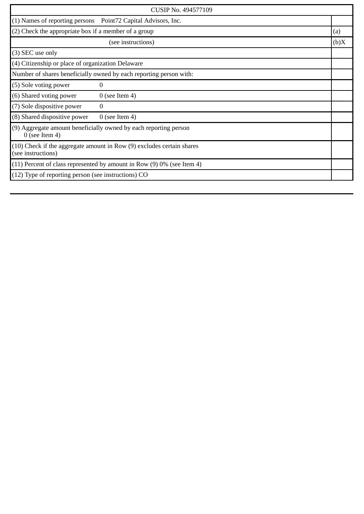| CUSIP No. 494577109                                                                         |                                                                    |      |
|---------------------------------------------------------------------------------------------|--------------------------------------------------------------------|------|
| (1) Names of reporting persons  Point72 Capital Advisors, Inc.                              |                                                                    |      |
| (2) Check the appropriate box if a member of a group                                        |                                                                    | (a)  |
|                                                                                             | (see instructions)                                                 | (b)X |
| (3) SEC use only                                                                            |                                                                    |      |
| (4) Citizenship or place of organization Delaware                                           |                                                                    |      |
|                                                                                             | Number of shares beneficially owned by each reporting person with: |      |
| (5) Sole voting power                                                                       | $\overline{0}$                                                     |      |
| (6) Shared voting power                                                                     | $0$ (see Item 4)                                                   |      |
| (7) Sole dispositive power                                                                  | $\Omega$                                                           |      |
| (8) Shared dispositive power                                                                | $0$ (see Item 4)                                                   |      |
| (9) Aggregate amount beneficially owned by each reporting person<br>$0$ (see Item 4)        |                                                                    |      |
| (10) Check if the aggregate amount in Row (9) excludes certain shares<br>(see instructions) |                                                                    |      |
| $(11)$ Percent of class represented by amount in Row $(9)$ 0% (see Item 4)                  |                                                                    |      |
| (12) Type of reporting person (see instructions) CO                                         |                                                                    |      |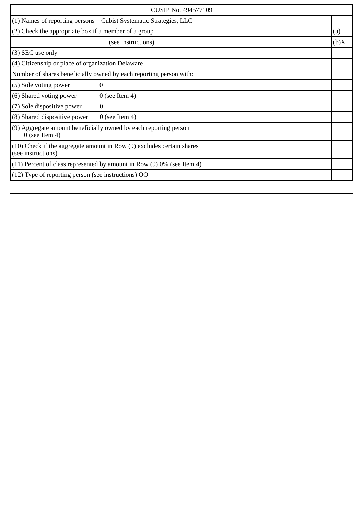| CUSIP No. 494577109                                                                  |                                                                            |      |
|--------------------------------------------------------------------------------------|----------------------------------------------------------------------------|------|
|                                                                                      | (1) Names of reporting persons Cubist Systematic Strategies, LLC           |      |
| (2) Check the appropriate box if a member of a group                                 |                                                                            | (a)  |
|                                                                                      | (see instructions)                                                         | (b)X |
| (3) SEC use only                                                                     |                                                                            |      |
| (4) Citizenship or place of organization Delaware                                    |                                                                            |      |
|                                                                                      | Number of shares beneficially owned by each reporting person with:         |      |
| (5) Sole voting power                                                                | $\Omega$                                                                   |      |
| (6) Shared voting power                                                              | $0$ (see Item 4)                                                           |      |
| (7) Sole dispositive power                                                           | $\theta$                                                                   |      |
| (8) Shared dispositive power                                                         | $0$ (see Item 4)                                                           |      |
| (9) Aggregate amount beneficially owned by each reporting person<br>$0$ (see Item 4) |                                                                            |      |
| (see instructions)                                                                   | (10) Check if the aggregate amount in Row (9) excludes certain shares      |      |
|                                                                                      | $(11)$ Percent of class represented by amount in Row $(9)$ 0% (see Item 4) |      |
| (12) Type of reporting person (see instructions) OO                                  |                                                                            |      |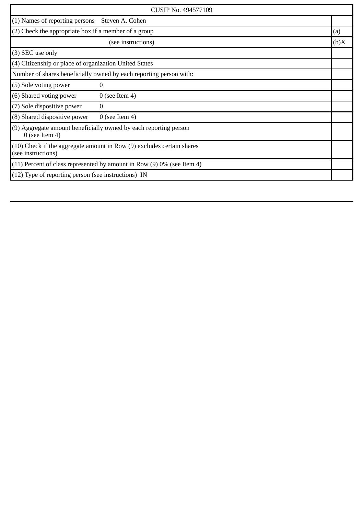| CUSIP No. 494577109                                                                         |      |  |
|---------------------------------------------------------------------------------------------|------|--|
| (1) Names of reporting persons<br>Steven A. Cohen                                           |      |  |
| (2) Check the appropriate box if a member of a group                                        | (a)  |  |
| (see instructions)                                                                          | (b)X |  |
| (3) SEC use only                                                                            |      |  |
| (4) Citizenship or place of organization United States                                      |      |  |
| Number of shares beneficially owned by each reporting person with:                          |      |  |
| (5) Sole voting power<br>0                                                                  |      |  |
| (6) Shared voting power<br>$0$ (see Item 4)                                                 |      |  |
| (7) Sole dispositive power<br>0                                                             |      |  |
| (8) Shared dispositive power<br>$0$ (see Item 4)                                            |      |  |
| (9) Aggregate amount beneficially owned by each reporting person<br>$0$ (see Item 4)        |      |  |
| (10) Check if the aggregate amount in Row (9) excludes certain shares<br>(see instructions) |      |  |
| $(11)$ Percent of class represented by amount in Row $(9)$ 0% (see Item 4)                  |      |  |
| (12) Type of reporting person (see instructions) IN                                         |      |  |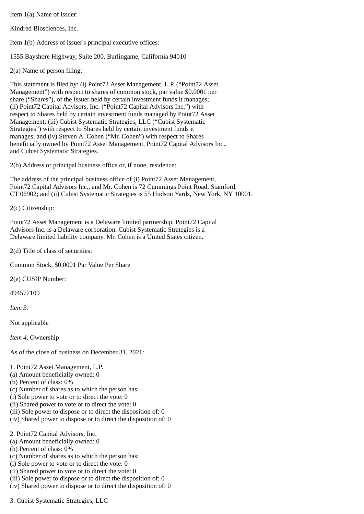Item 1(a) Name of issuer:

Kindred Biosciences, Inc.

Item 1(b) Address of issuer's principal executive offices:

1555 Bayshore Highway, Suite 200, Burlingame, California 94010

2(a) Name of person filing:

This statement is filed by: (i) Point72 Asset Management, L.P. ("Point72 Asset Management") with respect to shares of common stock, par value \$0.0001 per share ("Shares"), of the Issuer held by certain investment funds it manages; (ii) Point72 Capital Advisors, Inc. ("Point72 Capital Advisors Inc.") with respect to Shares held by certain investment funds managed by Point72 Asset Management; (iii) Cubist Systematic Strategies, LLC ("Cubist Systematic Strategies") with respect to Shares held by certain investment funds it manages; and (iv) Steven A. Cohen ("Mr. Cohen") with respect to Shares beneficially owned by Point72 Asset Management, Point72 Capital Advisors Inc., and Cubist Systematic Strategies.

2(b) Address or principal business office or, if none, residence:

The address of the principal business office of (i) Point72 Asset Management, Point72 Capital Advisors Inc., and Mr. Cohen is 72 Cummings Point Road, Stamford, CT 06902; and (ii) Cubist Systematic Strategies is 55 Hudson Yards, New York, NY 10001.

2(c) Citizenship:

Point72 Asset Management is a Delaware limited partnership. Point72 Capital Advisors Inc. is a Delaware corporation. Cubist Systematic Strategies is a Delaware limited liability company. Mr. Cohen is a United States citizen.

2(d) Title of class of securities:

Common Stock, \$0.0001 Par Value Per Share

2(e) CUSIP Number:

494577109

*Item 3.*

Not applicable

*Item 4.* Ownership

As of the close of business on December 31, 2021:

### 1. Point72 Asset Management, L.P.

- (a) Amount beneficially owned: 0
- (b) Percent of class: 0%
- (c) Number of shares as to which the person has:
- (i) Sole power to vote or to direct the vote: 0
- (ii) Shared power to vote or to direct the vote: 0
- (iii) Sole power to dispose or to direct the disposition of: 0
- (iv) Shared power to dispose or to direct the disposition of: 0

2. Point72 Capital Advisors, Inc.

- (a) Amount beneficially owned: 0
- (b) Percent of class: 0%
- (c) Number of shares as to which the person has:
- (i) Sole power to vote or to direct the vote: 0
- (ii) Shared power to vote or to direct the vote: 0
- (iii) Sole power to dispose or to direct the disposition of: 0
- (iv) Shared power to dispose or to direct the disposition of: 0

3. Cubist Systematic Strategies, LLC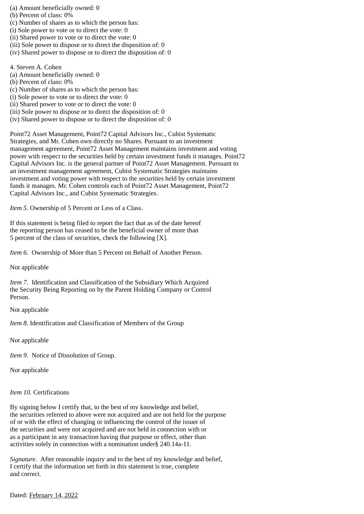(a) Amount beneficially owned: 0

- (b) Percent of class: 0%
- (c) Number of shares as to which the person has:
- (i) Sole power to vote or to direct the vote: 0
- (ii) Shared power to vote or to direct the vote: 0
- (iii) Sole power to dispose or to direct the disposition of: 0
- (iv) Shared power to dispose or to direct the disposition of: 0

4. Steven A. Cohen

- (a) Amount beneficially owned: 0
- (b) Percent of class: 0%
- (c) Number of shares as to which the person has:
- (i) Sole power to vote or to direct the vote: 0
- (ii) Shared power to vote or to direct the vote: 0
- (iii) Sole power to dispose or to direct the disposition of: 0
- (iv) Shared power to dispose or to direct the disposition of: 0

Point72 Asset Management, Point72 Capital Advisors Inc., Cubist Systematic Strategies, and Mr. Cohen own directly no Shares. Pursuant to an investment management agreement, Point72 Asset Management maintains investment and voting power with respect to the securities held by certain investment funds it manages. Point72 Capital Advisors Inc. is the general partner of Point72 Asset Management. Pursuant to an investment management agreement, Cubist Systematic Strategies maintains investment and voting power with respect to the securities held by certain investment funds it manages. Mr. Cohen controls each of Point72 Asset Management, Point72 Capital Advisors Inc., and Cubist Systematic Strategies.

*Item 5.* Ownership of 5 Percent or Less of a Class.

If this statement is being filed to report the fact that as of the date hereof the reporting person has ceased to be the beneficial owner of more than 5 percent of the class of securities, check the following [X].

*Item 6.* Ownership of More than 5 Percent on Behalf of Another Person.

Not applicable

*Item 7.* Identification and Classification of the Subsidiary Which Acquired the Security Being Reporting on by the Parent Holding Company or Control Person.

Not applicable

*Item 8.* Identification and Classification of Members of the Group

Not applicable

*Item 9.* Notice of Dissolution of Group.

Not applicable

### *Item 10.* Certifications

By signing below I certify that, to the best of my knowledge and belief, the securities referred to above were not acquired and are not held for the purpose of or with the effect of changing or influencing the control of the issuer of the securities and were not acquired and are not held in connection with or as a participant in any transaction having that purpose or effect, other than activities solely in connection with a nomination under§ 240.14a-11.

*Signature.* After reasonable inquiry and to the best of my knowledge and belief, I certify that the information set forth in this statement is true, complete and correct.